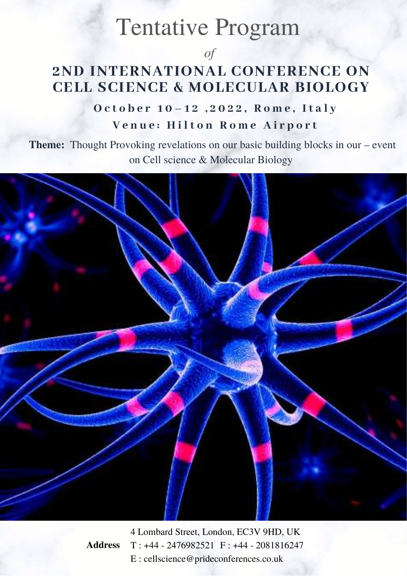## Tentative Program

*of*

#### **2ND INTERNATIONAL CONFERENCE ON CELL SCIENCE & MOLECULAR BIOLOGY**

#### October 10-12, 2022, Rome, Italy **V e n u e : H i l t o n R o m e A i r p o r t**

**Theme:** Thought Provoking revelations on our basic building blocks in our – event on Cell science & Molecular Biology



4 Lombard Street, London, EC3V 9HD, UK T : +44 - 2476982521 F : +44 - 2081816247 E : cellscience@prideconferences.co.uk

**Address**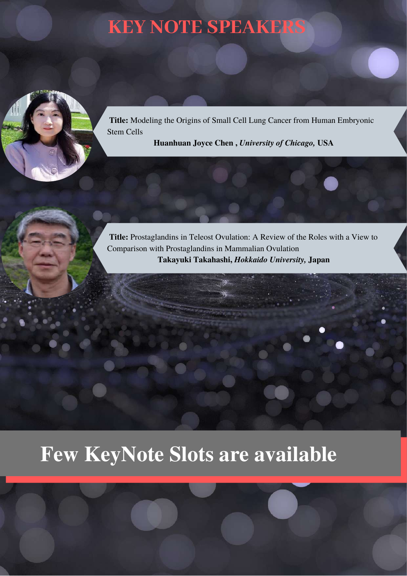## **KEY NOTE SPEAKERS**



**Title:** Modeling the Origins of Small Cell Lung Cancer from Human Embryonic Stem Cells

**Huanhuan Joyce Chen ,** *University of Chicago,* **USA**

**Title:** Prostaglandins in Teleost Ovulation: A Review of the Roles with a View to Comparison with Prostaglandins in Mammalian Ovulation **Takayuki Takahashi,** *Hokkaido University,* **Japan**

# **Few KeyNote Slots are available**

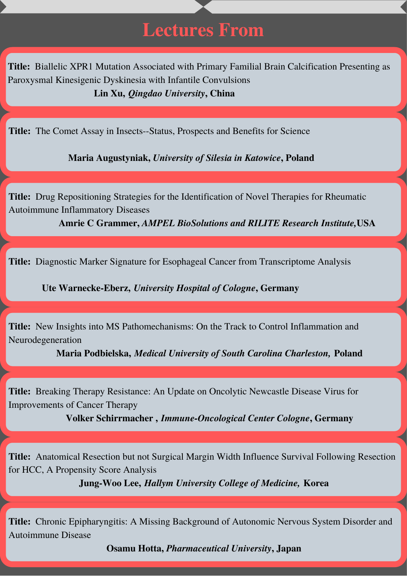### **Lectures From**

**Title:** Biallelic XPR1 Mutation Associated with Primary Familial Brain Calcification Presenting as Paroxysmal Kinesigenic Dyskinesia with Infantile Convulsions **Lin Xu,** *Qingdao University***, China**

**Title:** The Comet Assay in Insects--Status, Prospects and Benefits for Science

**Maria Augustyniak,** *University of Silesia in Katowice***, Poland**

**Title:** Drug Repositioning Strategies for the Identification of Novel Therapies for Rheumatic Autoimmune Inflammatory Diseases

**Amrie C Grammer,** *AMPEL BioSolutions and RILITE Research Institute,***USA**

**Title:** Diagnostic Marker Signature for Esophageal Cancer from Transcriptome Analysis

**Ute Warnecke-Eberz,** *University Hospital of Cologne***, Germany**

**Title:** New Insights into MS Pathomechanisms: On the Track to Control Inflammation and Neurodegeneration

**Maria Podbielska,** *Medical University of South Carolina Charleston,* **Poland**

**Title:** Breaking Therapy Resistance: An Update on Oncolytic Newcastle Disease Virus for Improvements of Cancer Therapy

**Volker Schirrmacher ,** *Immune-Oncological Center Cologne***, Germany**

**Title:** Anatomical Resection but not Surgical Margin Width Influence Survival Following Resection for HCC, A Propensity Score Analysis

**Jung-Woo Lee,** *Hallym University College of Medicine,* **Korea**

**Title:** Chronic Epipharyngitis: A Missing Background of Autonomic Nervous System Disorder and Autoimmune Disease

**Osamu Hotta,** *Pharmaceutical University***, Japan**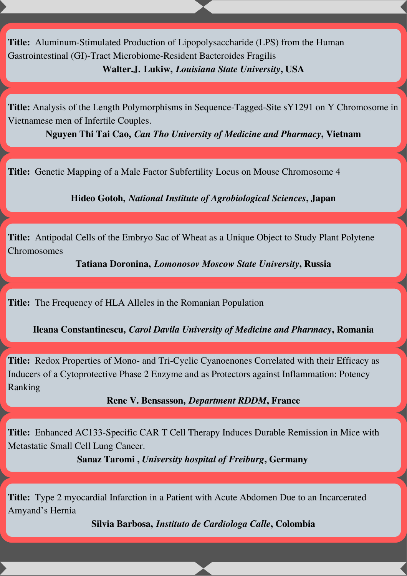**Title:** Aluminum-Stimulated Production of Lipopolysaccharide (LPS) from the Human Gastrointestinal (GI)-Tract Microbiome-Resident Bacteroides Fragilis **Walter.J. Lukiw,** *Louisiana State University***, USA**

**Title:** Analysis of the Length Polymorphisms in Sequence-Tagged-Site sY1291 on Y Chromosome in Vietnamese men of Infertile Couples.

**Nguyen Thi Tai Cao,** *Can Tho University of Medicine and Pharmacy***, Vietnam**

**Title:** Genetic Mapping of a Male Factor Subfertility Locus on Mouse Chromosome 4

**Hideo Gotoh,** *National Institute of Agrobiological Sciences***, Japan**

**Title:** Antipodal Cells of the Embryo Sac of Wheat as a Unique Object to Study Plant Polytene Chromosomes

**Tatiana Doronina,** *Lomonosov Moscow State University***, Russia**

**Title:** The Frequency of HLA Alleles in the Romanian Population

**Ileana Constantinescu,** *Carol Davila University of Medicine and Pharmacy***, Romania**

**Title:** Redox Properties of Mono- and Tri-Cyclic Cyanoenones Correlated with their Efficacy as Inducers of a Cytoprotective Phase 2 Enzyme and as Protectors against Inflammation: Potency Ranking

#### **Rene V. Bensasson,** *Department RDDM***, France**

**Title:** Enhanced AC133-Specific CAR T Cell Therapy Induces Durable Remission in Mice with Metastatic Small Cell Lung Cancer.

**Sanaz Taromi ,** *University hospital of Freiburg***, Germany**

**Title:** Type 2 myocardial Infarction in a Patient with Acute Abdomen Due to an Incarcerated Amyand's Hernia

**Silvia Barbosa,** *Instituto de Cardiologa Calle***, Colombia**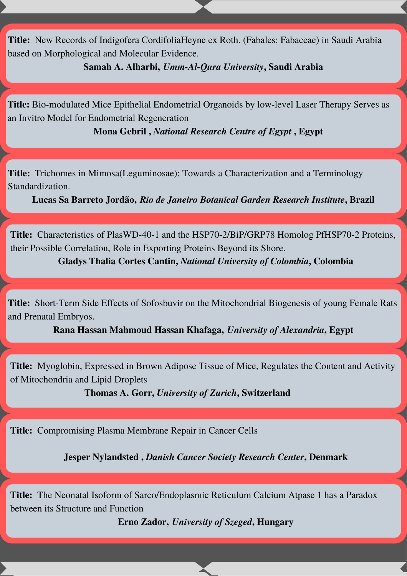**Title:** New Records of Indigofera CordifoliaHeyne ex Roth. (Fabales: Fabaceae) in Saudi Arabia based on Morphological and Molecular Evidence.

**Samah A. Alharbi,** *Umm-Al-Qura University***, Saudi Arabia**

**Title:** Bio-modulated Mice Epithelial Endometrial Organoids by low-level Laser Therapy Serves as an Invitro Model for Endometrial Regeneration

**Mona Gebril ,** *National Research Centre of Egypt* **, Egypt**

**Title:** Trichomes in Mimosa(Leguminosae): Towards a Characterization and a Terminology Standardization.

**Lucas Sa Barreto Jordão,** *Rio de Janeiro Botanical Garden Research Institute***, Brazil**

**Title:** Characteristics of PlasWD-40-1 and the HSP70-2/BiP/GRP78 Homolog PfHSP70-2 Proteins, their Possible Correlation, Role in Exporting Proteins Beyond its Shore.

**Gladys Thalia Cortes Cantin,** *National University of Colombia***, Colombia**

**Title:** Short-Term Side Effects of Sofosbuvir on the Mitochondrial Biogenesis of young Female Rats and Prenatal Embryos.

**Rana Hassan Mahmoud Hassan Khafaga,** *University of Alexandria***, Egypt**

**Title:** Myoglobin, Expressed in Brown Adipose Tissue of Mice, Regulates the Content and Activity of Mitochondria and Lipid Droplets

**Thomas A. Gorr,** *University of Zurich***, Switzerland**

**Title:** Compromising Plasma Membrane Repair in Cancer Cells

**Jesper Nylandsted ,** *Danish Cancer Society Research Center***, Denmark**

**Title:** The Neonatal Isoform of Sarco/Endoplasmic Reticulum Calcium Atpase 1 has a Paradox between its Structure and Function

**Erno Zador,** *University of Szeged***, Hungary**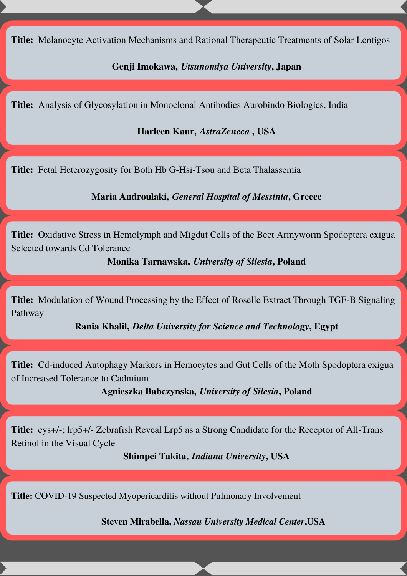**Title:** Melanocyte Activation Mechanisms and Rational Therapeutic Treatments of Solar Lentigos

**Genji Imokawa,** *Utsunomiya University***, Japan**

**Title:** Analysis of Glycosylation in Monoclonal Antibodies Aurobindo Biologics, India

**Harleen Kaur,** *AstraZeneca* **, USA**

**Title:** Fetal Heterozygosity for Both Hb G-Hsi-Tsou and Beta Thalassemia

**Maria Androulaki,** *General Hospital of Messinia***, Greece**

**Title:** Oxidative Stress in Hemolymph and Migdut Cells of the Beet Armyworm Spodoptera exigua Selected towards Cd Tolerance

**Monika Tarnawska,** *University of Silesia***, Poland**

**Title:** Modulation of Wound Processing by the Effect of Roselle Extract Through TGF-Β Signaling Pathway

**Rania Khalil,** *Delta University for Science and Technology***, Egypt**

**Title:** Cd-induced Autophagy Markers in Hemocytes and Gut Cells of the Moth Spodoptera exigua of Increased Tolerance to Cadmium

**Agnieszka Babczynska,** *University of Silesia***, Poland**

**Title:** eys+/-; lrp5+/- Zebrafish Reveal Lrp5 as a Strong Candidate for the Receptor of All-Trans Retinol in the Visual Cycle

**Shimpei Takita,** *Indiana University***, USA**

**Title:** COVID-19 Suspected Myopericarditis without Pulmonary Involvement

**Steven Mirabella,** *Nassau University Medical Center***,USA**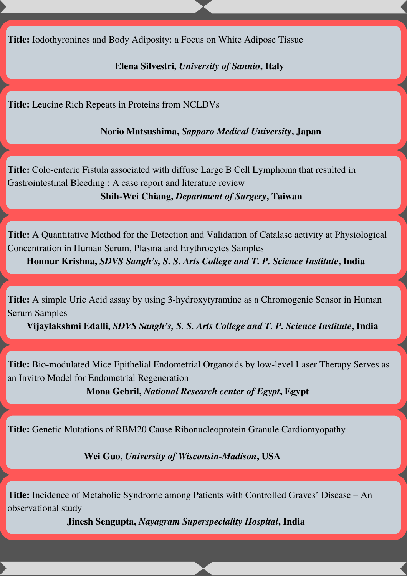**Title:** Iodothyronines and Body Adiposity: a Focus on White Adipose Tissue

**Elena Silvestri,** *University of Sannio***, Italy**

**Title:** Leucine Rich Repeats in Proteins from NCLDVs

**Norio Matsushima,** *Sapporo Medical University***, Japan**

**Title:** Colo-enteric Fistula associated with diffuse Large B Cell Lymphoma that resulted in Gastrointestinal Bleeding : A case report and literature review

**Shih-Wei Chiang,** *Department of Surgery***, Taiwan**

**Title:** A Quantitative Method for the Detection and Validation of Catalase activity at Physiological Concentration in Human Serum, Plasma and Erythrocytes Samples

**Honnur Krishna,** *SDVS Sangh's, S. S. Arts College and T. P. Science Institute***, India**

**Title:** A simple Uric Acid assay by using 3-hydroxytyramine as a Chromogenic Sensor in Human Serum Samples

**Vijaylakshmi Edalli,** *SDVS Sangh's, S. S. Arts College and T. P. Science Institute***, India**

**Title:** Bio-modulated Mice Epithelial Endometrial Organoids by low-level Laser Therapy Serves as an Invitro Model for Endometrial Regeneration

**Mona Gebril,** *National Research center of Egypt***, Egypt**

**Title:** Genetic Mutations of RBM20 Cause Ribonucleoprotein Granule Cardiomyopathy

**Wei Guo,** *University of Wisconsin-Madison***, USA**

**Title:** Incidence of Metabolic Syndrome among Patients with Controlled Graves' Disease – An observational study

**Jinesh Sengupta,** *Nayagram Superspeciality Hospital***, India**